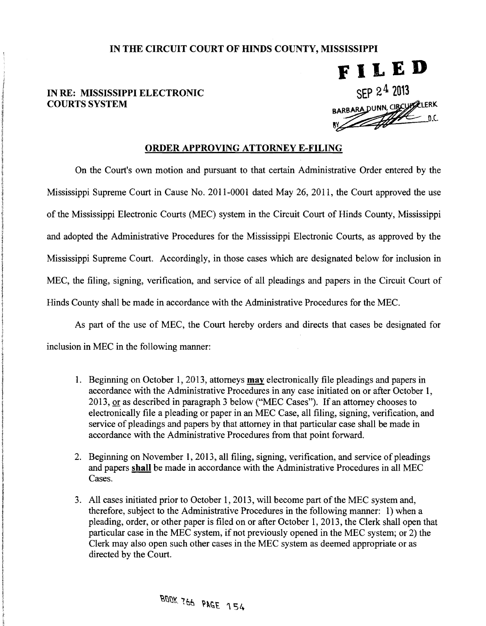## IN THE CIRCUIT COURT OF HINDS COUNTY, MISSISSIPPI

## IN RE: MISSISSIPPI ELECTRONIC COURTS SYSTEM

i !

de als representatives de la propie

 $\label{eq:2.1} \frac{1}{2} \int_{0}^{2\pi} \frac{1}{\sqrt{2\pi} \left( \frac{1}{2} \int_{0}^{2\pi} \frac{1}{2} \int_{0}^{2\pi} \frac{1}{2} \int_{0}^{2\pi} \frac{1}{2} \int_{0}^{2\pi} \frac{1}{2} \int_{0}^{2\pi} \frac{1}{2} \int_{0}^{2\pi} \frac{1}{2} \int_{0}^{2\pi} \frac{1}{2} \int_{0}^{2\pi} \frac{1}{2} \int_{0}^{2\pi} \frac{1}{2} \int_{0}^{2\pi} \frac{1}{2} \int$ 

1<br>1<br>1<br>1

International Control<br>International Control<br>International Control

 $\label{eq:2.1} \begin{aligned} \mathcal{L}_{\mathcal{P}}(\mathcal{A},\mathcal{P},\mathcal{Q},\mathcal{Q},\mathcal{Q}) \leq & \mathcal{L}_{\mathcal{P}}(\mathcal{A},\mathcal{Q},\mathcal{Q},\mathcal{Q},\mathcal{Q}) \leq & \mathcal{L}_{\mathcal{P}}(\mathcal{A},\mathcal{Q},\mathcal{Q},\mathcal{Q},\mathcal{Q}) \leq & \mathcal{L}_{\mathcal{P}}(\mathcal{A},\mathcal{Q},\mathcal{Q},\mathcal{Q},\mathcal{Q}) \leq & \mathcal{L}_{\mathcal{P}}(\mathcal{A},\mathcal{$ 

) I , t<br>tali 1 !

ARBARA DUNN, CIRCUPPLERK  $\times$  I L E D<br>SEP 24 2013

## ORDER APPROVING ATTORNEY E-FILING

On the Court's own motion and pursuant to that certain Administrative Order entered by the Mississippi Supreme Court in Cause No. 2011-0001 dated May 26, 2011, the Court approved the use of the Mississippi Electronic Courts (MEC) system in the Circuit Court of Hinds County, Mississippi and adopted the Administrative Procedures for the Mississippi Electronic Courts, as approved by the Mississippi Supreme Court. Accordingly, in those cases which are designated below for inclusion in MEC, the filing, signing, verification, and service of all pleadings and papers in the Circuit Court of Hinds County shall be made in accordance with the Administrative Procedures for the MEC.

As part of the use of MEC, the Court hereby orders and directs that cases be designated for inclusion in MEC in the following manner:

- 1. Beginning on October 1, 2013, attorneys **may** electronically file pleadings and papers in accordance with the Administrative Procedures in any case initiated on or after October 1 2013, <u>or</u> as described in paragraph 3 accordance with the Administrative Procedures in any case initiated on or after October 1, electronically file a pleading or paper in an MEC Case, all filing, signing, verification, and service of pleadings and papers by that attorney in that particular case shall be made in accordance with the Administrative Procedures from that point forward.
	- 2. Beginning on November 1, 2013, all filing, signing, verification, and service of pleadings and papers shall be made in accordance with the Administrative Procedures in all MEC Cases.
- 3. All cases initiated prior to October 1, 2013, will become part of the MEC system and, therefore, subject to the Administrative Procedures in the following manner: 1) when pleading, order, or other paper is filed on or a therefore, subject to the Administrative Procedures in the following manner: 1) when a pleading, order, or other paper is filed on or after October 1, 2013, the Clerk shall open that particular case in the MEC system, if not previously opened in the MEC system; or 2) the Clerk may also open such other cases in the MEC system as deemed appropriate or as directed by the Court.